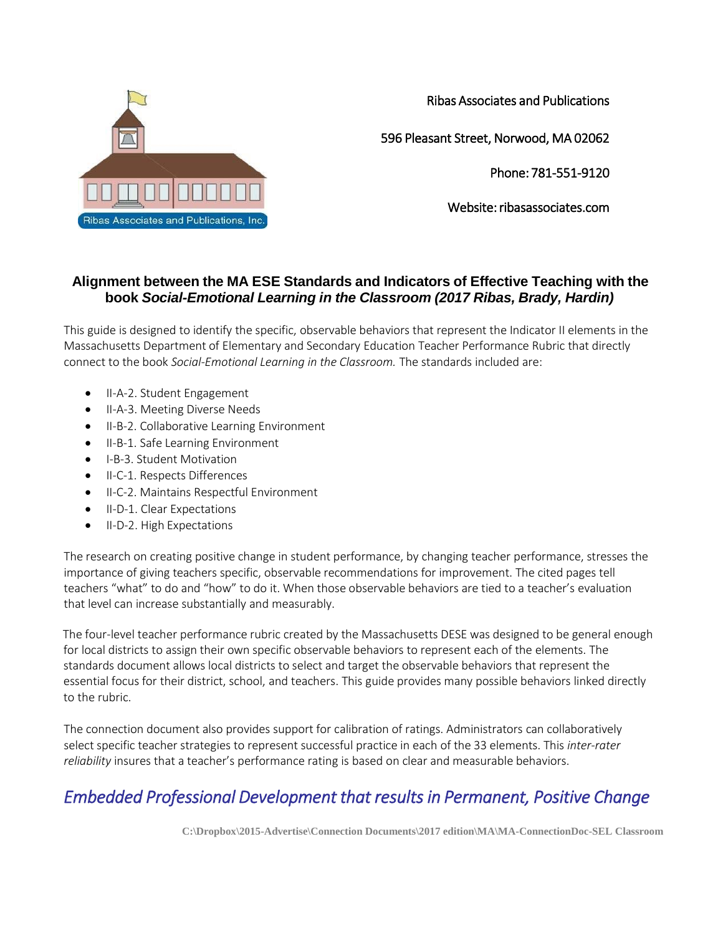

Ribas Associates and Publications

596 Pleasant Street, Norwood, MA 02062

Phone: 781-551-9120

Website: ribasassociates.com

## **Alignment between the MA ESE Standards and Indicators of Effective Teaching with the book** *Social-Emotional Learning in the Classroom (2017 Ribas, Brady, Hardin)*

This guide is designed to identify the specific, observable behaviors that represent the Indicator II elements in the Massachusetts Department of Elementary and Secondary Education Teacher Performance Rubric that directly connect to the book *Social-Emotional Learning in the Classroom.* The standards included are:

- II-A-2. Student Engagement
- II-A-3. Meeting Diverse Needs
- II-B-2. Collaborative Learning Environment
- II-B-1. Safe Learning Environment
- I-B-3. Student Motivation
- II-C-1. Respects Differences
- $\bullet$  II-C-2. Maintains Respectful Environment
- II-D-1. Clear Expectations
- II-D-2. High Expectations

The research on creating positive change in student performance, by changing teacher performance, stresses the importance of giving teachers specific, observable recommendations for improvement. The cited pages tell teachers "what" to do and "how" to do it. When those observable behaviors are tied to a teacher's evaluation that level can increase substantially and measurably.

The four-level teacher performance rubric created by the Massachusetts DESE was designed to be general enough for local districts to assign their own specific observable behaviors to represent each of the elements. The standards document allows local districts to select and target the observable behaviors that represent the essential focus for their district, school, and teachers. This guide provides many possible behaviors linked directly to the rubric.

The connection document also provides support for calibration of ratings. Administrators can collaboratively select specific teacher strategies to represent successful practice in each of the 33 elements. This *inter-rater reliability* insures that a teacher's performance rating is based on clear and measurable behaviors.

## *Embedded Professional Development that results in Permanent, Positive Change*

**C:\Dropbox\2015-Advertise\Connection Documents\2017 edition\MA\MA-ConnectionDoc-SEL Classroom**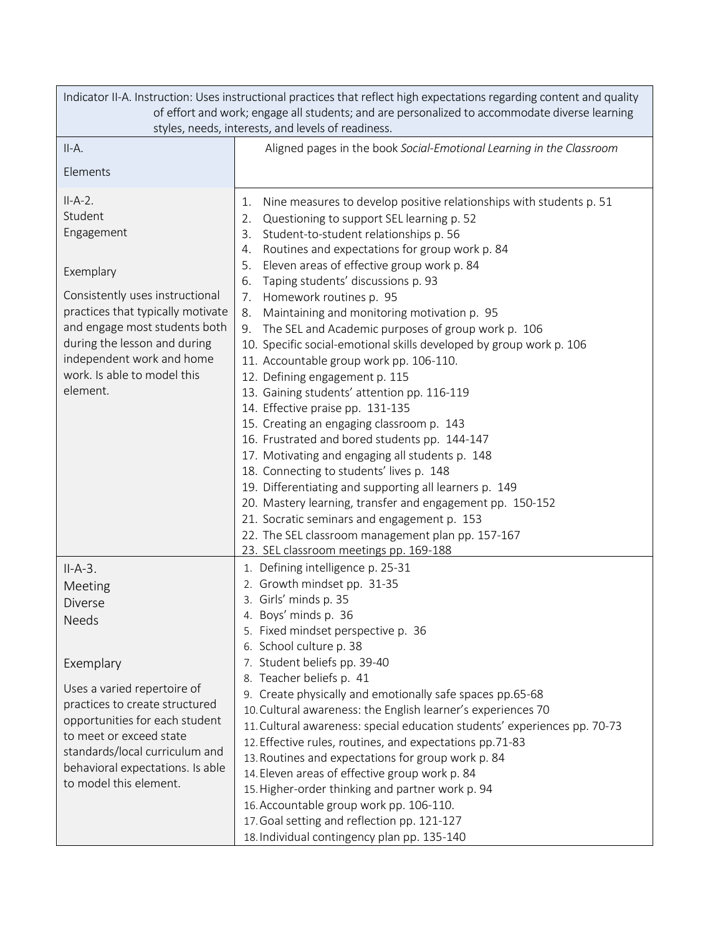| Indicator II-A. Instruction: Uses instructional practices that reflect high expectations regarding content and quality<br>of effort and work; engage all students; and are personalized to accommodate diverse learning<br>styles, needs, interests, and levels of readiness.       |                                                                                                                                                                                                                                                                                                                                                                                                                                                                                                                                                                                                                                                                                                                                                                                                                                                                                                                                                                                                                                                                                                                                                                                                 |  |  |  |  |
|-------------------------------------------------------------------------------------------------------------------------------------------------------------------------------------------------------------------------------------------------------------------------------------|-------------------------------------------------------------------------------------------------------------------------------------------------------------------------------------------------------------------------------------------------------------------------------------------------------------------------------------------------------------------------------------------------------------------------------------------------------------------------------------------------------------------------------------------------------------------------------------------------------------------------------------------------------------------------------------------------------------------------------------------------------------------------------------------------------------------------------------------------------------------------------------------------------------------------------------------------------------------------------------------------------------------------------------------------------------------------------------------------------------------------------------------------------------------------------------------------|--|--|--|--|
| $II-A.$                                                                                                                                                                                                                                                                             | Aligned pages in the book Social-Emotional Learning in the Classroom                                                                                                                                                                                                                                                                                                                                                                                                                                                                                                                                                                                                                                                                                                                                                                                                                                                                                                                                                                                                                                                                                                                            |  |  |  |  |
| Elements                                                                                                                                                                                                                                                                            |                                                                                                                                                                                                                                                                                                                                                                                                                                                                                                                                                                                                                                                                                                                                                                                                                                                                                                                                                                                                                                                                                                                                                                                                 |  |  |  |  |
| $II-A-2.$<br>Student<br>Engagement<br>Exemplary<br>Consistently uses instructional<br>practices that typically motivate<br>and engage most students both<br>during the lesson and during<br>independent work and home<br>work. Is able to model this<br>element.                    | Nine measures to develop positive relationships with students p. 51<br>1.<br>Questioning to support SEL learning p. 52<br>2.<br>Student-to-student relationships p. 56<br>3.<br>Routines and expectations for group work p. 84<br>4.<br>Eleven areas of effective group work p. 84<br>5.<br>Taping students' discussions p. 93<br>6.<br>Homework routines p. 95<br>7.<br>Maintaining and monitoring motivation p. 95<br>8.<br>The SEL and Academic purposes of group work p. 106<br>9.<br>10. Specific social-emotional skills developed by group work p. 106<br>11. Accountable group work pp. 106-110.<br>12. Defining engagement p. 115<br>13. Gaining students' attention pp. 116-119<br>14. Effective praise pp. 131-135<br>15. Creating an engaging classroom p. 143<br>16. Frustrated and bored students pp. 144-147<br>17. Motivating and engaging all students p. 148<br>18. Connecting to students' lives p. 148<br>19. Differentiating and supporting all learners p. 149<br>20. Mastery learning, transfer and engagement pp. 150-152<br>21. Socratic seminars and engagement p. 153<br>22. The SEL classroom management plan pp. 157-167<br>23. SEL classroom meetings pp. 169-188 |  |  |  |  |
| $II-A-3.$<br>Meeting<br>Diverse<br>Needs<br>Exemplary<br>Uses a varied repertoire of<br>practices to create structured<br>opportunities for each student<br>to meet or exceed state<br>standards/local curriculum and<br>behavioral expectations. Is able<br>to model this element. | 1. Defining intelligence p. 25-31<br>2. Growth mindset pp. 31-35<br>3. Girls' minds p. 35<br>4. Boys' minds p. 36<br>5. Fixed mindset perspective p. 36<br>6. School culture p. 38<br>7. Student beliefs pp. 39-40<br>8. Teacher beliefs p. 41<br>9. Create physically and emotionally safe spaces pp.65-68<br>10. Cultural awareness: the English learner's experiences 70<br>11. Cultural awareness: special education students' experiences pp. 70-73<br>12. Effective rules, routines, and expectations pp.71-83<br>13. Routines and expectations for group work p. 84<br>14. Eleven areas of effective group work p. 84<br>15. Higher-order thinking and partner work p. 94<br>16. Accountable group work pp. 106-110.<br>17. Goal setting and reflection pp. 121-127<br>18. Individual contingency plan pp. 135-140                                                                                                                                                                                                                                                                                                                                                                       |  |  |  |  |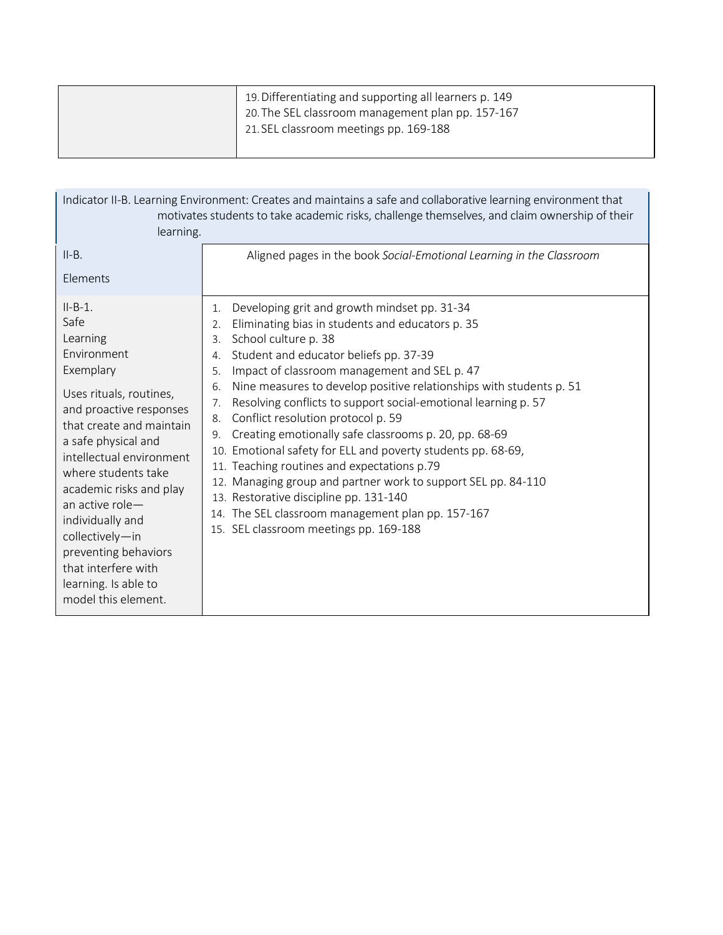| 19. Differentiating and supporting all learners p. 149<br>20. The SEL classroom management plan pp. 157-167 |
|-------------------------------------------------------------------------------------------------------------|
| 21. SEL classroom meetings pp. 169-188                                                                      |

| Indicator II-B. Learning Environment: Creates and maintains a safe and collaborative learning environment that<br>motivates students to take academic risks, challenge themselves, and claim ownership of their<br>learning.                                                                                                                                                                             |                                                                                                                                                                                                                                                                                                                                                                                                                                                                                                                                                                                                                                                                                                                                                                                                                                           |  |  |  |
|----------------------------------------------------------------------------------------------------------------------------------------------------------------------------------------------------------------------------------------------------------------------------------------------------------------------------------------------------------------------------------------------------------|-------------------------------------------------------------------------------------------------------------------------------------------------------------------------------------------------------------------------------------------------------------------------------------------------------------------------------------------------------------------------------------------------------------------------------------------------------------------------------------------------------------------------------------------------------------------------------------------------------------------------------------------------------------------------------------------------------------------------------------------------------------------------------------------------------------------------------------------|--|--|--|
| $II-B.$                                                                                                                                                                                                                                                                                                                                                                                                  | Aligned pages in the book Social-Emotional Learning in the Classroom                                                                                                                                                                                                                                                                                                                                                                                                                                                                                                                                                                                                                                                                                                                                                                      |  |  |  |
| Elements                                                                                                                                                                                                                                                                                                                                                                                                 |                                                                                                                                                                                                                                                                                                                                                                                                                                                                                                                                                                                                                                                                                                                                                                                                                                           |  |  |  |
| $II-B-1.$<br>Safe<br>Learning<br>Environment<br>Exemplary<br>Uses rituals, routines,<br>and proactive responses<br>that create and maintain<br>a safe physical and<br>intellectual environment<br>where students take<br>academic risks and play<br>an active role-<br>individually and<br>collectively-in<br>preventing behaviors<br>that interfere with<br>learning. Is able to<br>model this element. | Developing grit and growth mindset pp. 31-34<br>1.<br>Eliminating bias in students and educators p. 35<br>2.<br>School culture p. 38<br>3.<br>Student and educator beliefs pp. 37-39<br>4.<br>Impact of classroom management and SEL p. 47<br>5.<br>Nine measures to develop positive relationships with students p. 51<br>6.<br>Resolving conflicts to support social-emotional learning p. 57<br>7.<br>Conflict resolution protocol p. 59<br>8.<br>Creating emotionally safe classrooms p. 20, pp. 68-69<br>9.<br>10. Emotional safety for ELL and poverty students pp. 68-69,<br>11. Teaching routines and expectations p.79<br>12. Managing group and partner work to support SEL pp. 84-110<br>13. Restorative discipline pp. 131-140<br>14. The SEL classroom management plan pp. 157-167<br>15. SEL classroom meetings pp. 169-188 |  |  |  |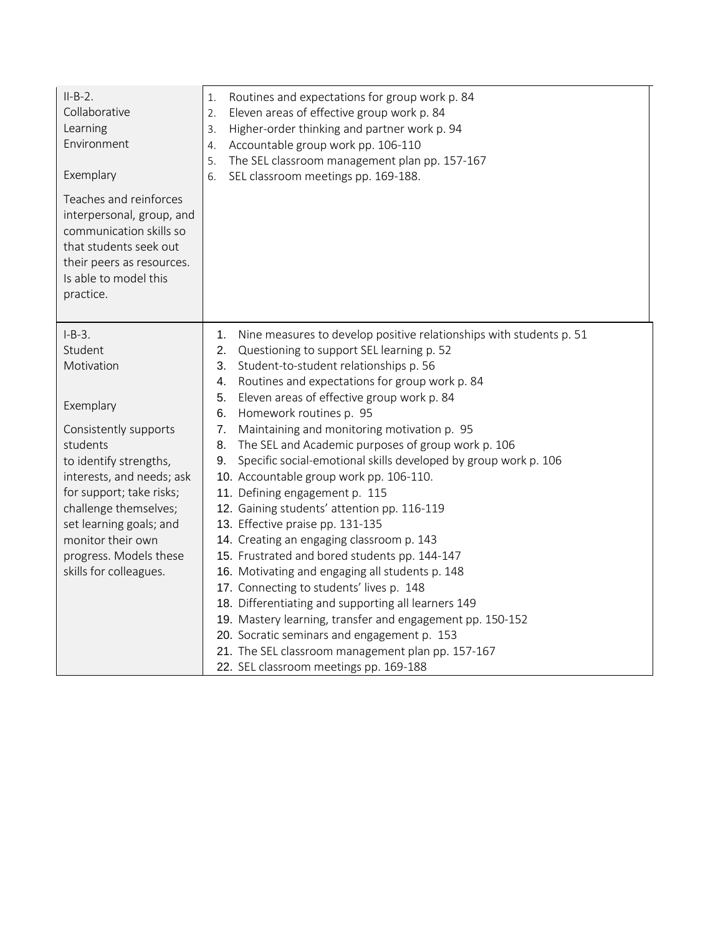| $II-B-2.$<br>Collaborative<br>Learning<br>Environment<br>Exemplary                                                                                                          | Routines and expectations for group work p. 84<br>1.<br>Eleven areas of effective group work p. 84<br>2.<br>Higher-order thinking and partner work p. 94<br>3.<br>Accountable group work pp. 106-110<br>4.<br>The SEL classroom management plan pp. 157-167<br>5.<br>SEL classroom meetings pp. 169-188.<br>6. |
|-----------------------------------------------------------------------------------------------------------------------------------------------------------------------------|----------------------------------------------------------------------------------------------------------------------------------------------------------------------------------------------------------------------------------------------------------------------------------------------------------------|
| Teaches and reinforces<br>interpersonal, group, and<br>communication skills so<br>that students seek out<br>their peers as resources.<br>Is able to model this<br>practice. |                                                                                                                                                                                                                                                                                                                |
| $I-B-3.$                                                                                                                                                                    | Nine measures to develop positive relationships with students p. 51<br>1.                                                                                                                                                                                                                                      |
| Student                                                                                                                                                                     | 2. Questioning to support SEL learning p. 52                                                                                                                                                                                                                                                                   |
| Motivation                                                                                                                                                                  | Student-to-student relationships p. 56<br>3.                                                                                                                                                                                                                                                                   |
|                                                                                                                                                                             | Routines and expectations for group work p. 84<br>4.                                                                                                                                                                                                                                                           |
| Exemplary                                                                                                                                                                   | Eleven areas of effective group work p. 84<br>5.                                                                                                                                                                                                                                                               |
|                                                                                                                                                                             | Homework routines p. 95<br>6.                                                                                                                                                                                                                                                                                  |
| Consistently supports                                                                                                                                                       | 7.<br>Maintaining and monitoring motivation p. 95                                                                                                                                                                                                                                                              |
| students                                                                                                                                                                    | The SEL and Academic purposes of group work p. 106<br>8.                                                                                                                                                                                                                                                       |
| to identify strengths,                                                                                                                                                      | Specific social-emotional skills developed by group work p. 106<br>9.                                                                                                                                                                                                                                          |
| interests, and needs; ask                                                                                                                                                   | 10. Accountable group work pp. 106-110.                                                                                                                                                                                                                                                                        |
| for support; take risks;                                                                                                                                                    | 11. Defining engagement p. 115                                                                                                                                                                                                                                                                                 |
| challenge themselves;                                                                                                                                                       | 12. Gaining students' attention pp. 116-119                                                                                                                                                                                                                                                                    |
| set learning goals; and                                                                                                                                                     | 13. Effective praise pp. 131-135                                                                                                                                                                                                                                                                               |
| monitor their own                                                                                                                                                           | 14. Creating an engaging classroom p. 143                                                                                                                                                                                                                                                                      |
| progress. Models these                                                                                                                                                      | 15. Frustrated and bored students pp. 144-147                                                                                                                                                                                                                                                                  |
| skills for colleagues.                                                                                                                                                      | 16. Motivating and engaging all students p. 148                                                                                                                                                                                                                                                                |
|                                                                                                                                                                             | 17. Connecting to students' lives p. 148                                                                                                                                                                                                                                                                       |
|                                                                                                                                                                             | 18. Differentiating and supporting all learners 149                                                                                                                                                                                                                                                            |
|                                                                                                                                                                             | 19. Mastery learning, transfer and engagement pp. 150-152                                                                                                                                                                                                                                                      |
|                                                                                                                                                                             | 20. Socratic seminars and engagement p. 153                                                                                                                                                                                                                                                                    |
|                                                                                                                                                                             | 21. The SEL classroom management plan pp. 157-167                                                                                                                                                                                                                                                              |
|                                                                                                                                                                             | 22. SEL classroom meetings pp. 169-188                                                                                                                                                                                                                                                                         |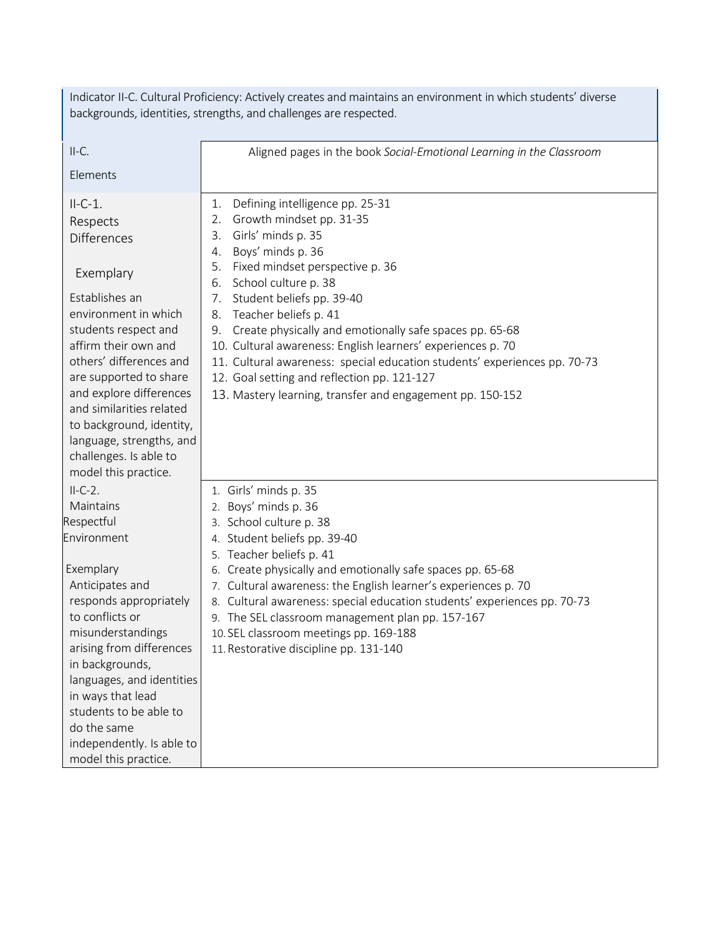| Indicator II-C. Cultural Proficiency: Actively creates and maintains an environment in which students' diverse<br>backgrounds, identities, strengths, and challenges are respected.                                                                                                                                                                                      |                                                                                                                                                                                                                                                                                                                                                                                                                                                                                                                                                                                                  |  |  |  |  |
|--------------------------------------------------------------------------------------------------------------------------------------------------------------------------------------------------------------------------------------------------------------------------------------------------------------------------------------------------------------------------|--------------------------------------------------------------------------------------------------------------------------------------------------------------------------------------------------------------------------------------------------------------------------------------------------------------------------------------------------------------------------------------------------------------------------------------------------------------------------------------------------------------------------------------------------------------------------------------------------|--|--|--|--|
| $II-C.$                                                                                                                                                                                                                                                                                                                                                                  | Aligned pages in the book Social-Emotional Learning in the Classroom                                                                                                                                                                                                                                                                                                                                                                                                                                                                                                                             |  |  |  |  |
| Elements                                                                                                                                                                                                                                                                                                                                                                 |                                                                                                                                                                                                                                                                                                                                                                                                                                                                                                                                                                                                  |  |  |  |  |
| $II-C-1.$<br>Respects<br><b>Differences</b><br>Exemplary<br>Establishes an<br>environment in which<br>students respect and<br>affirm their own and<br>others' differences and<br>are supported to share<br>and explore differences<br>and similarities related<br>to background, identity,<br>language, strengths, and<br>challenges. Is able to<br>model this practice. | Defining intelligence pp. 25-31<br>1.<br>Growth mindset pp. 31-35<br>2.<br>Girls' minds p. 35<br>3.<br>Boys' minds p. 36<br>4.<br>Fixed mindset perspective p. 36<br>5.<br>School culture p. 38<br>6.<br>Student beliefs pp. 39-40<br>7.<br>Teacher beliefs p. 41<br>8.<br>Create physically and emotionally safe spaces pp. 65-68<br>9.<br>10. Cultural awareness: English learners' experiences p. 70<br>11. Cultural awareness: special education students' experiences pp. 70-73<br>12. Goal setting and reflection pp. 121-127<br>13. Mastery learning, transfer and engagement pp. 150-152 |  |  |  |  |
| $II-C-2.$<br>Maintains<br>Respectful<br>Environment<br>Exemplary<br>Anticipates and<br>responds appropriately<br>to conflicts or<br>misunderstandings<br>arising from differences<br>in backgrounds,<br>languages, and identities<br>in ways that lead<br>students to be able to<br>do the same<br>independently. Is able to<br>model this practice.                     | 1. Girls' minds p. 35<br>2. Boys' minds p. 36<br>3. School culture p. 38<br>4. Student beliefs pp. 39-40<br>5. Teacher beliefs p. 41<br>6. Create physically and emotionally safe spaces pp. 65-68<br>7. Cultural awareness: the English learner's experiences p. 70<br>8. Cultural awareness: special education students' experiences pp. 70-73<br>9. The SEL classroom management plan pp. 157-167<br>10. SEL classroom meetings pp. 169-188<br>11. Restorative discipline pp. 131-140                                                                                                         |  |  |  |  |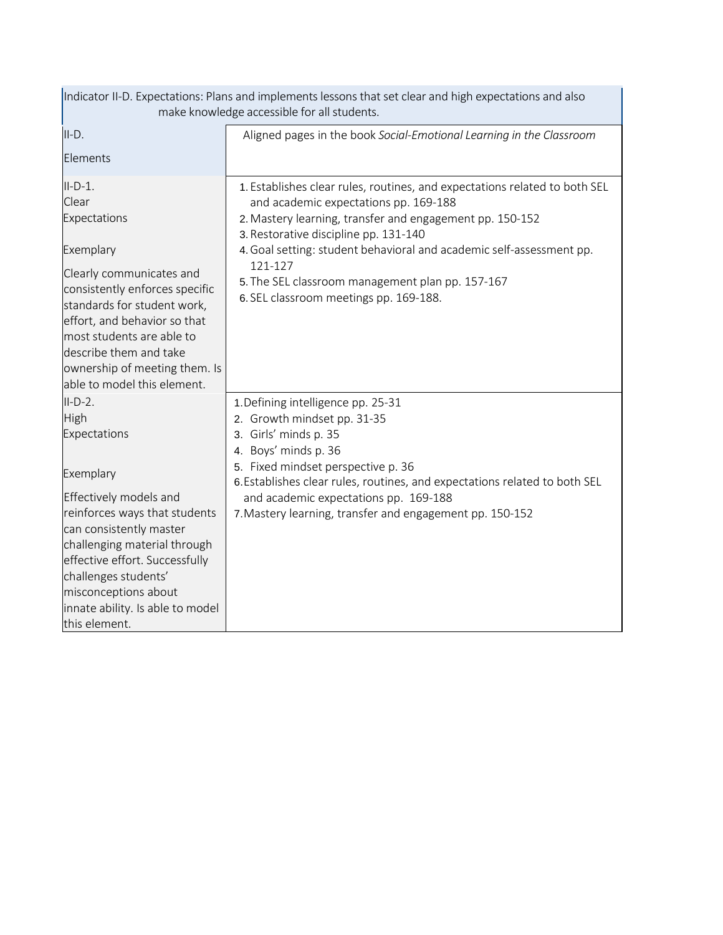| Indicator II-D. Expectations: Plans and implements lessons that set clear and high expectations and also<br>make knowledge accessible for all students.                                                                                                                                             |                                                                                                                                                                                                                                                                                                                                                                                                           |  |  |  |
|-----------------------------------------------------------------------------------------------------------------------------------------------------------------------------------------------------------------------------------------------------------------------------------------------------|-----------------------------------------------------------------------------------------------------------------------------------------------------------------------------------------------------------------------------------------------------------------------------------------------------------------------------------------------------------------------------------------------------------|--|--|--|
| $II-D.$<br>Elements                                                                                                                                                                                                                                                                                 | Aligned pages in the book Social-Emotional Learning in the Classroom                                                                                                                                                                                                                                                                                                                                      |  |  |  |
| $II-D-1.$<br>Clear<br>Expectations<br>Exemplary<br>Clearly communicates and<br>consistently enforces specific<br>standards for student work,<br>effort, and behavior so that<br>most students are able to<br>describe them and take<br>ownership of meeting them. Is<br>able to model this element. | 1. Establishes clear rules, routines, and expectations related to both SEL<br>and academic expectations pp. 169-188<br>2. Mastery learning, transfer and engagement pp. 150-152<br>3. Restorative discipline pp. 131-140<br>4. Goal setting: student behavioral and academic self-assessment pp.<br>121-127<br>5. The SEL classroom management plan pp. 157-167<br>6. SEL classroom meetings pp. 169-188. |  |  |  |
| $II-D-2.$<br>High<br>Expectations<br>Exemplary<br>Effectively models and<br>reinforces ways that students<br>can consistently master<br>challenging material through<br>effective effort. Successfully<br>challenges students'<br>misconceptions about                                              | 1. Defining intelligence pp. 25-31<br>2. Growth mindset pp. 31-35<br>3. Girls' minds p. 35<br>4. Boys' minds p. 36<br>5. Fixed mindset perspective p. 36<br>6. Establishes clear rules, routines, and expectations related to both SEL<br>and academic expectations pp. 169-188<br>7. Mastery learning, transfer and engagement pp. 150-152                                                               |  |  |  |
| innate ability. Is able to model<br>this element.                                                                                                                                                                                                                                                   |                                                                                                                                                                                                                                                                                                                                                                                                           |  |  |  |